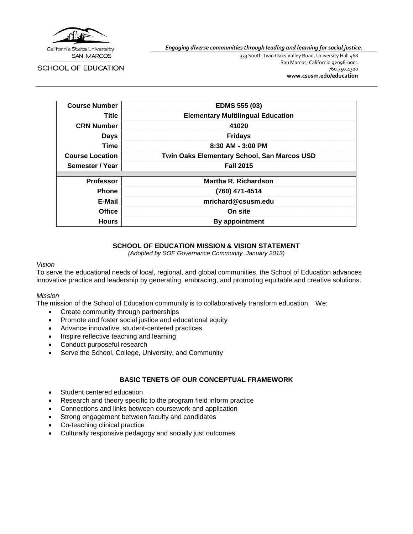

**SAN MARCOS** 

SCHOOL OF EDUCATION

*Engaging diverse communities through leading and learning for social justice.*

333 South Twin Oaks Valley Road, University Hall 468 San Marcos, California 92096-0001 760.750.4300 **[www.csusm.edu/education](http://www.csusm.edu/education)**

| <b>Course Number</b>   | <b>EDMS 555 (03)</b>                               |
|------------------------|----------------------------------------------------|
| Title                  | <b>Elementary Multilingual Education</b>           |
| <b>CRN Number</b>      | 41020                                              |
| Days                   | <b>Fridays</b>                                     |
| <b>Time</b>            | $8:30$ AM - $3:00$ PM                              |
| <b>Course Location</b> | <b>Twin Oaks Elementary School, San Marcos USD</b> |
| Semester / Year        | <b>Fall 2015</b>                                   |
|                        |                                                    |
| <b>Professor</b>       | Martha R. Richardson                               |
| <b>Phone</b>           | (760) 471-4514                                     |
| E-Mail                 | mrichard@csusm.edu                                 |
| <b>Office</b>          | On site                                            |
| <b>Hours</b>           | By appointment                                     |

#### **SCHOOL OF EDUCATION MISSION & VISION STATEMENT**

*(Adopted by SOE Governance Community, January 2013)*

#### *Vision*

To serve the educational needs of local, regional, and global communities, the School of Education advances innovative practice and leadership by generating, embracing, and promoting equitable and creative solutions.

#### *Mission*

The mission of the School of Education community is to collaboratively transform education. We:

- Create community through partnerships
- Promote and foster social justice and educational equity
- Advance innovative, student-centered practices
- Inspire reflective teaching and learning
- Conduct purposeful research
- Serve the School, College, University, and Community

## **BASIC TENETS OF OUR CONCEPTUAL FRAMEWORK**

- Student centered education
- Research and theory specific to the program field inform practice
- Connections and links between coursework and application
- Strong engagement between faculty and candidates
- Co-teaching clinical practice
- Culturally responsive pedagogy and socially just outcomes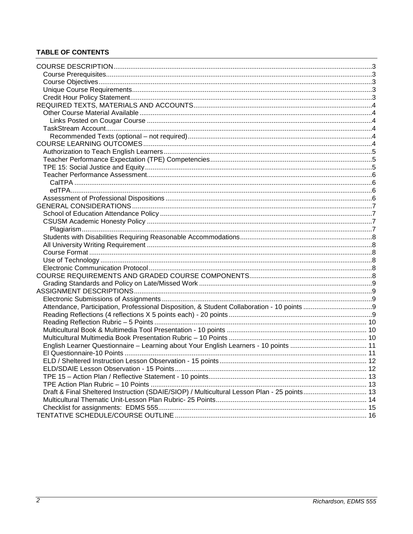## **TABLE OF CONTENTS**

| Draft & Final Sheltered Instruction (SDAIE/SIOP) / Multicultural Lesson Plan - 25 points 13 |  |
|---------------------------------------------------------------------------------------------|--|
|                                                                                             |  |
|                                                                                             |  |
|                                                                                             |  |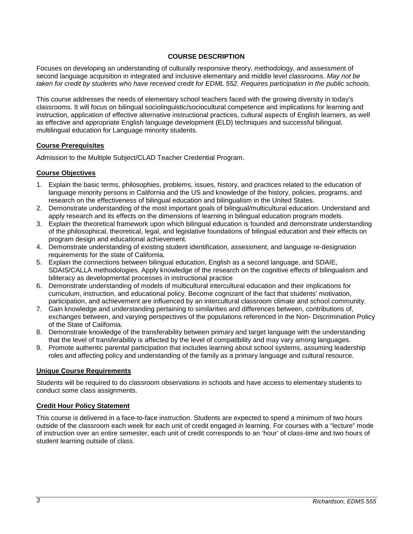### **COURSE DESCRIPTION**

<span id="page-2-0"></span>Focuses on developing an understanding of culturally responsive theory, methodology, and assessment of second language acquisition in integrated and inclusive elementary and middle level classrooms. *May not be taken for credit by students who have received credit for EDML 552. Requires participation in the public schools.*

This course addresses the needs of elementary school teachers faced with the growing diversity in today's classrooms. It will focus on bilingual sociolinguistic/sociocultural competence and implications for learning and instruction, application of effective alternative instructional practices, cultural aspects of English learners, as well as effective and appropriate English language development (ELD) techniques and successful bilingual, multilingual education for Language minority students.

#### <span id="page-2-1"></span>**Course Prerequisites**

Admission to the Multiple Subject/CLAD Teacher Credential Program.

#### <span id="page-2-2"></span>**Course Objectives**

- 1. Explain the basic terms, philosophies, problems, issues, history, and practices related to the education of language minority persons in California and the US and knowledge of the history, policies, programs, and research on the effectiveness of bilingual education and bilingualism in the United States.
- 2. Demonstrate understanding of the most important goals of bilingual/multicultural education. Understand and apply research and its effects on the dimensions of learning in bilingual education program models.
- 3. Explain the theoretical framework upon which bilingual education is founded and demonstrate understanding of the philosophical, theoretical, legal, and legislative foundations of bilingual education and their effects on program design and educational achievement.
- 4. Demonstrate understanding of existing student identification, assessment, and language re-designation requirements for the state of California.
- 5. Explain the connections between bilingual education, English as a second language, and SDAIE, SDAIS/CALLA methodologies. Apply knowledge of the research on the cognitive effects of bilingualism and biliteracy as developmental processes in instructional practice
- 6. Demonstrate understanding of models of multicultural intercultural education and their implications for curriculum, instruction, and educational policy. Become cognizant of the fact that students' motivation, participation, and achievement are influenced by an intercultural classroom climate and school community.
- 7. Gain knowledge and understanding pertaining to similarities and differences between, contributions of, exchanges between, and varying perspectives of the populations referenced in the Non- Discrimination Policy of the State of California.
- 8. Demonstrate knowledge of the transferability between primary and target language with the understanding that the level of transferability is affected by the level of compatibility and may vary among languages.
- 9. Promote authentic parental participation that includes learning about school systems, assuming leadership roles and affecting policy and understanding of the family as a primary language and cultural resource.

### <span id="page-2-3"></span>**Unique Course Requirements**

Students will be required to do classroom observations in schools and have access to elementary students to conduct some class assignments.

#### <span id="page-2-4"></span>**Credit Hour Policy Statement**

This course is delivered in a face-to-face instruction. Students are expected to spend a minimum of two hours outside of the classroom each week for each unit of credit engaged in learning. For courses with a "lecture" mode of instruction over an entire semester, each unit of credit corresponds to an 'hour' of class-time and two hours of student learning outside of class.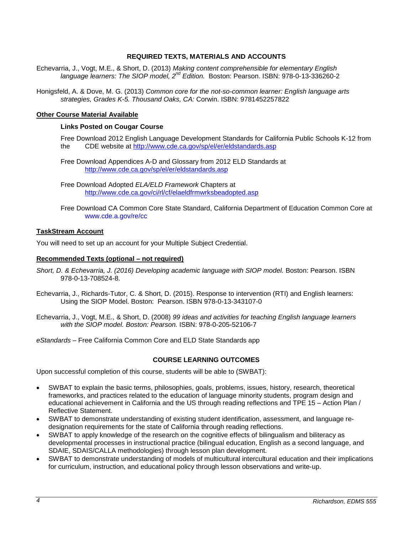### **REQUIRED TEXTS, MATERIALS AND ACCOUNTS**

- <span id="page-3-0"></span>Echevarria, J., Vogt, M.E., & Short, D. (2013) *Making content comprehensible for elementary English language learners: The SIOP model, 2nd Edition.* Boston: Pearson. ISBN: 978-0-13-336260-2
- Honigsfeld, A. & Dove, M. G. (2013) *Common core for the not-so-common learner: English language arts strategies, Grades K-5. Thousand Oaks, CA:* Corwin. ISBN: 9781452257822

#### <span id="page-3-2"></span><span id="page-3-1"></span>**Other Course Material Available**

#### **Links Posted on Cougar Course**

Free Download 2012 English Language Development Standards for California Public Schools K-12 from the CDE website at<http://www.cde.ca.gov/sp/el/er/eldstandards.asp>

Free Download Appendices A-D and Glossary from 2012 ELD Standards at <http://www.cde.ca.gov/sp/el/er/eldstandards.asp>

Free Download Adopted *ELA/ELD Framework* Chapters at <http://www.cde.ca.gov/ci/rl/cf/elaeldfrmwrksbeadopted.asp>

Free Download CA Common Core State Standard, California Department of Education Common Core at www.cde.a.gov/re/cc

#### <span id="page-3-3"></span>**TaskStream Account**

You will need to set up an account for your Multiple Subject Credential.

#### <span id="page-3-4"></span>**Recommended Texts (optional – not required)**

- Short, D. & Echevarria, J. (2016) Developing academic language with SIOP model. Boston: Pearson. ISBN 978-0-13-708524-8.
- Echevarria, J., Richards-Tutor, C. & Short, D. (2015). Response to intervention (RTI) and English learners: Using the SIOP Model. Boston: Pearson. ISBN 978-0-13-343107-0

Echevarria, J., Vogt, M.E., & Short, D. (2008) *99 ideas and activities for teaching English language learners with the SIOP model. Boston: Pearson.* ISBN: 978-0-205-52106-7

<span id="page-3-5"></span>*eStandards* – Free California Common Core and ELD State Standards app

#### **COURSE LEARNING OUTCOMES**

Upon successful completion of this course, students will be able to (SWBAT):

- SWBAT to explain the basic terms, philosophies, goals, problems, issues, history, research, theoretical frameworks, and practices related to the education of language minority students, program design and educational achievement in California and the US through reading reflections and TPE 15 – Action Plan / Reflective Statement.
- SWBAT to demonstrate understanding of existing student identification, assessment, and language redesignation requirements for the state of California through reading reflections.
- SWBAT to apply knowledge of the research on the cognitive effects of bilingualism and biliteracy as developmental processes in instructional practice (bilingual education, English as a second language, and SDAIE, SDAIS/CALLA methodologies) through lesson plan development.
- SWBAT to demonstrate understanding of models of multicultural intercultural education and their implications for curriculum, instruction, and educational policy through lesson observations and write-up.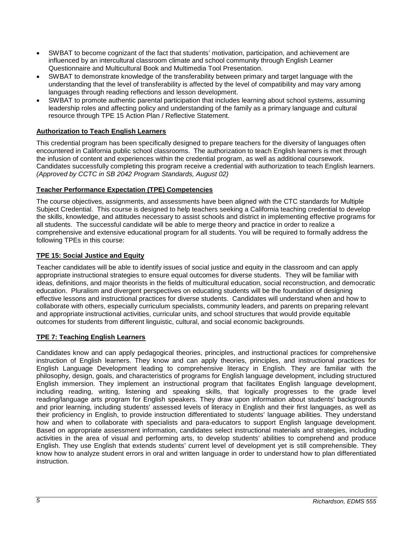- SWBAT to become cognizant of the fact that students' motivation, participation, and achievement are influenced by an intercultural classroom climate and school community through English Learner Questionnaire and Multicultural Book and Multimedia Tool Presentation.
- SWBAT to demonstrate knowledge of the transferability between primary and target language with the understanding that the level of transferability is affected by the level of compatibility and may vary among languages through reading reflections and lesson development.
- SWBAT to promote authentic parental participation that includes learning about school systems, assuming leadership roles and affecting policy and understanding of the family as a primary language and cultural resource through TPE 15 Action Plan / Reflective Statement.

## <span id="page-4-0"></span>**Authorization to Teach English Learners**

This credential program has been specifically designed to prepare teachers for the diversity of languages often encountered in California public school classrooms. The authorization to teach English learners is met through the infusion of content and experiences within the credential program, as well as additional coursework. Candidates successfully completing this program receive a credential with authorization to teach English learners. *(Approved by CCTC in SB 2042 Program Standards, August 02)*

## <span id="page-4-1"></span>**Teacher Performance Expectation (TPE) Competencies**

The course objectives, assignments, and assessments have been aligned with the CTC standards for Multiple Subject Credential. This course is designed to help teachers seeking a California teaching credential to develop the skills, knowledge, and attitudes necessary to assist schools and district in implementing effective programs for all students. The successful candidate will be able to merge theory and practice in order to realize a comprehensive and extensive educational program for all students. You will be required to formally address the following TPEs in this course:

### <span id="page-4-2"></span>**TPE 15: Social Justice and Equity**

Teacher candidates will be able to identify issues of social justice and equity in the classroom and can apply appropriate instructional strategies to ensure equal outcomes for diverse students. They will be familiar with ideas, definitions, and major theorists in the fields of multicultural education, social reconstruction, and democratic education. Pluralism and divergent perspectives on educating students will be the foundation of designing effective lessons and instructional practices for diverse students. Candidates will understand when and how to collaborate with others, especially curriculum specialists, community leaders, and parents on preparing relevant and appropriate instructional activities, curricular units, and school structures that would provide equitable outcomes for students from different linguistic, cultural, and social economic backgrounds.

### **TPE 7: Teaching English Learners**

Candidates know and can apply pedagogical theories, principles, and instructional practices for comprehensive instruction of English learners. They know and can apply theories, principles, and instructional practices for English Language Development leading to comprehensive literacy in English. They are familiar with the philosophy, design, goals, and characteristics of programs for English language development, including structured English immersion. They implement an instructional program that facilitates English language development, including reading, writing, listening and speaking skills, that logically progresses to the grade level reading/language arts program for English speakers. They draw upon information about students' backgrounds and prior learning, including students' assessed levels of literacy in English and their first languages, as well as their proficiency in English, to provide instruction differentiated to students' language abilities. They understand how and when to collaborate with specialists and para-educators to support English language development. Based on appropriate assessment information, candidates select instructional materials and strategies, including activities in the area of visual and performing arts, to develop students' abilities to comprehend and produce English. They use English that extends students' current level of development yet is still comprehensible. They know how to analyze student errors in oral and written language in order to understand how to plan differentiated instruction.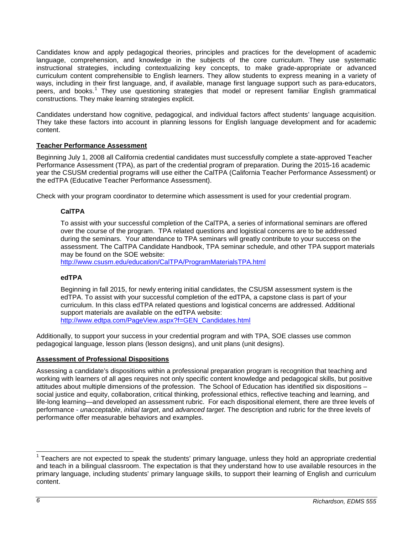Candidates know and apply pedagogical theories, principles and practices for the development of academic language, comprehension, and knowledge in the subjects of the core curriculum. They use systematic instructional strategies, including contextualizing key concepts, to make grade-appropriate or advanced curriculum content comprehensible to English learners. They allow students to express meaning in a variety of ways, including in their first language, and, if available, manage first language support such as para-educators, peers, and books.<sup>[1](#page-5-4)</sup> They use questioning strategies that model or represent familiar English grammatical constructions. They make learning strategies explicit.

Candidates understand how cognitive, pedagogical, and individual factors affect students' language acquisition. They take these factors into account in planning lessons for English language development and for academic content.

### <span id="page-5-0"></span>**Teacher Performance Assessment**

Beginning July 1, 2008 all California credential candidates must successfully complete a state-approved Teacher Performance Assessment (TPA), as part of the credential program of preparation. During the 2015-16 academic year the CSUSM credential programs will use either the CalTPA (California Teacher Performance Assessment) or the edTPA (Educative Teacher Performance Assessment).

<span id="page-5-1"></span>Check with your program coordinator to determine which assessment is used for your credential program.

## **CalTPA**

To assist with your successful completion of the CalTPA, a series of informational seminars are offered over the course of the program. TPA related questions and logistical concerns are to be addressed during the seminars. Your attendance to TPA seminars will greatly contribute to your success on the assessment. The CalTPA Candidate Handbook, TPA seminar schedule, and other TPA support materials may be found on the SOE website:

<http://www.csusm.edu/education/CalTPA/ProgramMaterialsTPA.html>

### <span id="page-5-2"></span>**edTPA**

Beginning in fall 2015, for newly entering initial candidates, the CSUSM assessment system is the edTPA. To assist with your successful completion of the edTPA, a capstone class is part of your curriculum. In this class edTPA related questions and logistical concerns are addressed. Additional support materials are available on the edTPA website: [http://www.edtpa.com/PageView.aspx?f=GEN\\_Candidates.html](http://www.edtpa.com/PageView.aspx?f=GEN_Candidates.html)

Additionally, to support your success in your credential program and with TPA, SOE classes use common pedagogical language, lesson plans (lesson designs), and unit plans (unit designs).

### <span id="page-5-3"></span>**Assessment of Professional Dispositions**

Assessing a candidate's dispositions within a professional preparation program is recognition that teaching and working with learners of all ages requires not only specific content knowledge and pedagogical skills, but positive attitudes about multiple dimensions of the profession. The School of Education has identified six dispositions – social justice and equity, collaboration, critical thinking, professional ethics, reflective teaching and learning, and life-long learning—and developed an assessment rubric. For each dispositional element, there are three levels of performance - *unacceptable*, *initial target*, and *advanced target*. The description and rubric for the three levels of performance offer measurable behaviors and examples.

<span id="page-5-4"></span> $1$  Teachers are not expected to speak the students' primary language, unless they hold an appropriate credential and teach in a bilingual classroom. The expectation is that they understand how to use available resources in the primary language, including students' primary language skills, to support their learning of English and curriculum content.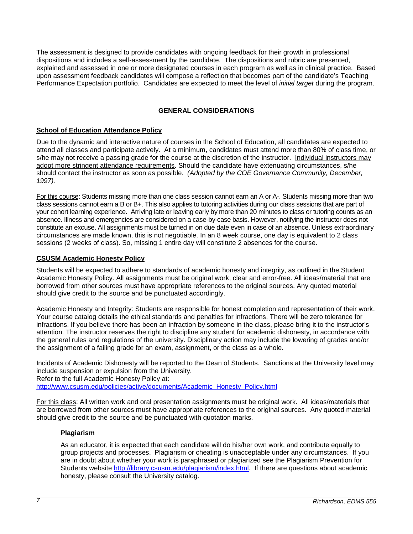The assessment is designed to provide candidates with ongoing feedback for their growth in professional dispositions and includes a self-assessment by the candidate. The dispositions and rubric are presented, explained and assessed in one or more designated courses in each program as well as in clinical practice. Based upon assessment feedback candidates will compose a reflection that becomes part of the candidate's Teaching Performance Expectation portfolio. Candidates are expected to meet the level of *initial target* during the program.

## **GENERAL CONSIDERATIONS**

### <span id="page-6-1"></span><span id="page-6-0"></span>**School of Education Attendance Policy**

Due to the dynamic and interactive nature of courses in the School of Education, all candidates are expected to attend all classes and participate actively. At a minimum, candidates must attend more than 80% of class time, or s/he may not receive a passing grade for the course at the discretion of the instructor. Individual instructors may adopt more stringent attendance requirements. Should the candidate have extenuating circumstances, s/he should contact the instructor as soon as possible. *(Adopted by the COE Governance Community, December, 1997).*

For this course: Students missing more than one class session cannot earn an A or A-. Students missing more than two class sessions cannot earn a B or B+. This also applies to tutoring activities during our class sessions that are part of your cohort learning experience. Arriving late or leaving early by more than 20 minutes to class or tutoring counts as an absence. Illness and emergencies are considered on a case-by-case basis. However, notifying the instructor does not constitute an excuse. All assignments must be turned in on due date even in case of an absence. Unless extraordinary circumstances are made known, this is not negotiable. In an 8 week course, one day is equivalent to 2 class sessions (2 weeks of class). So, missing 1 entire day will constitute 2 absences for the course.

### <span id="page-6-2"></span>**CSUSM Academic Honesty Policy**

Students will be expected to adhere to standards of academic honesty and integrity, as outlined in the Student Academic Honesty Policy. All assignments must be original work, clear and error-free. All ideas/material that are borrowed from other sources must have appropriate references to the original sources. Any quoted material should give credit to the source and be punctuated accordingly.

Academic Honesty and Integrity: Students are responsible for honest completion and representation of their work. Your course catalog details the ethical standards and penalties for infractions. There will be zero tolerance for infractions. If you believe there has been an infraction by someone in the class, please bring it to the instructor's attention. The instructor reserves the right to discipline any student for academic dishonesty, in accordance with the general rules and regulations of the university. Disciplinary action may include the lowering of grades and/or the assignment of a failing grade for an exam, assignment, or the class as a whole.

Incidents of Academic Dishonesty will be reported to the Dean of Students. Sanctions at the University level may include suspension or expulsion from the University.

Refer to the full Academic Honesty Policy at:

[http://www.csusm.edu/policies/active/documents/Academic\\_Honesty\\_Policy.html](http://www.csusm.edu/policies/active/documents/Academic_Honesty_Policy.html)

For this class: All written work and oral presentation assignments must be original work. All ideas/materials that are borrowed from other sources must have appropriate references to the original sources. Any quoted material should give credit to the source and be punctuated with quotation marks.

#### <span id="page-6-3"></span>**Plagiarism**

As an educator, it is expected that each candidate will do his/her own work, and contribute equally to group projects and processes. Plagiarism or cheating is unacceptable under any circumstances. If you are in doubt about whether your work is paraphrased or plagiarized see the Plagiarism Prevention for Students website [http://library.csusm.edu/plagiarism/index.html.](http://library.csusm.edu/plagiarism/index.html) If there are questions about academic honesty, please consult the University catalog.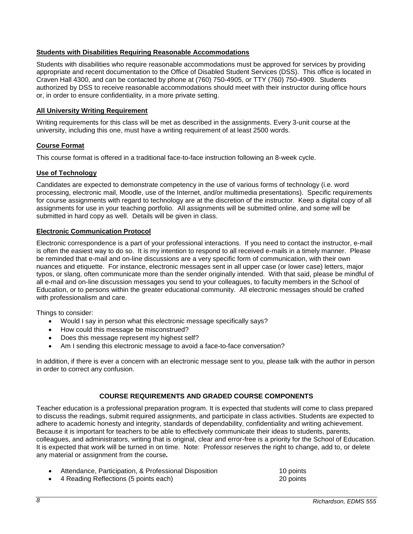### <span id="page-7-0"></span>**Students with Disabilities Requiring Reasonable Accommodations**

Students with disabilities who require reasonable accommodations must be approved for services by providing appropriate and recent documentation to the Office of Disabled Student Services (DSS). This office is located in Craven Hall 4300, and can be contacted by phone at (760) 750-4905, or TTY (760) 750-4909. Students authorized by DSS to receive reasonable accommodations should meet with their instructor during office hours or, in order to ensure confidentiality, in a more private setting.

#### <span id="page-7-1"></span>**All University Writing Requirement**

Writing requirements for this class will be met as described in the assignments. Every 3-unit course at the university, including this one, must have a writing requirement of at least 2500 words.

#### <span id="page-7-2"></span>**Course Format**

This course format is offered in a traditional face-to-face instruction following an 8-week cycle.

#### <span id="page-7-3"></span>**Use of Technology**

Candidates are expected to demonstrate competency in the use of various forms of technology (i.e. word processing, electronic mail, Moodle, use of the Internet, and/or multimedia presentations). Specific requirements for course assignments with regard to technology are at the discretion of the instructor. Keep a digital copy of all assignments for use in your teaching portfolio. All assignments will be submitted online, and some will be submitted in hard copy as well. Details will be given in class.

#### <span id="page-7-4"></span>**Electronic Communication Protocol**

Electronic correspondence is a part of your professional interactions. If you need to contact the instructor, e-mail is often the easiest way to do so. It is my intention to respond to all received e-mails in a timely manner. Please be reminded that e-mail and on-line discussions are a very specific form of communication, with their own nuances and etiquette. For instance, electronic messages sent in all upper case (or lower case) letters, major typos, or slang, often communicate more than the sender originally intended. With that said, please be mindful of all e-mail and on-line discussion messages you send to your colleagues, to faculty members in the School of Education, or to persons within the greater educational community. All electronic messages should be crafted with professionalism and care.

Things to consider:

- Would I say in person what this electronic message specifically says?
- How could this message be misconstrued?
- Does this message represent my highest self?
- Am I sending this electronic message to avoid a face-to-face conversation?

In addition, if there is ever a concern with an electronic message sent to you, please talk with the author in person in order to correct any confusion.

### **COURSE REQUIREMENTS AND GRADED COURSE COMPONENTS**

<span id="page-7-5"></span>Teacher education is a professional preparation program. It is expected that students will come to class prepared to discuss the readings, submit required assignments, and participate in class activities. Students are expected to adhere to academic honesty and integrity, standards of dependability, confidentiality and writing achievement. Because it is important for teachers to be able to effectively communicate their ideas to students, parents, colleagues, and administrators, writing that is original, clear and error-free is a priority for the School of Education. It is expected that work will be turned in on time. Note: Professor reserves the right to change, add to, or delete any material or assignment from the course*.*

- Attendance, Participation, & Professional Disposition 10 points
	- 4 Reading Reflections (5 points each) 20 points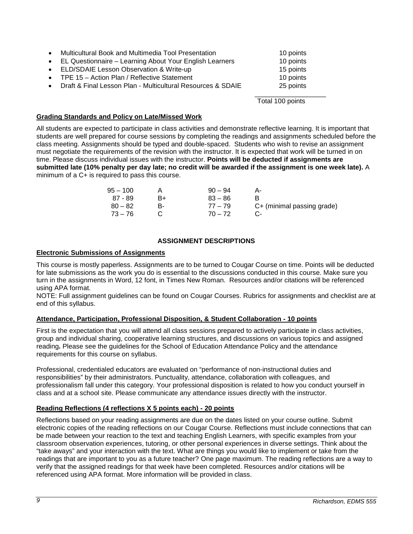| $\bullet$ | Multicultural Book and Multimedia Tool Presentation<br>• EL Questionnaire - Learning About Your English Learners | 10 points<br>10 points |
|-----------|------------------------------------------------------------------------------------------------------------------|------------------------|
|           | • ELD/SDAIE Lesson Observation & Write-up                                                                        | 15 points              |
|           | • TPE 15 - Action Plan / Reflective Statement                                                                    | 10 points              |
| $\bullet$ | Draft & Final Lesson Plan - Multicultural Resources & SDAIE                                                      | 25 points              |
|           |                                                                                                                  |                        |

Total 100 points

#### <span id="page-8-0"></span>**Grading Standards and Policy on Late/Missed Work**

All students are expected to participate in class activities and demonstrate reflective learning. It is important that students are well prepared for course sessions by completing the readings and assignments scheduled before the class meeting. Assignments should be typed and double-spaced. Students who wish to revise an assignment must negotiate the requirements of the revision with the instructor. It is expected that work will be turned in on time. Please discuss individual issues with the instructor. **Points will be deducted if assignments are submitted late (10% penalty per day late; no credit will be awarded if the assignment is one week late).** A minimum of a C+ is required to pass this course.

| $95 - 100$ |    | $90 - 94$ |                            |
|------------|----|-----------|----------------------------|
| 87 - 89    | B+ | $83 - 86$ |                            |
| $80 - 82$  | н. | $77 - 79$ | C+ (minimal passing grade) |
| $73 - 76$  |    | $70 - 72$ |                            |

#### **ASSIGNMENT DESCRIPTIONS**

#### <span id="page-8-2"></span><span id="page-8-1"></span>**Electronic Submissions of Assignments**

This course is mostly paperless. Assignments are to be turned to Cougar Course on time. Points will be deducted for late submissions as the work you do is essential to the discussions conducted in this course. Make sure you turn in the assignments in Word, 12 font, in Times New Roman. Resources and/or citations will be referenced using APA format.

NOTE: Full assignment guidelines can be found on Cougar Courses. Rubrics for assignments and checklist are at end of this syllabus.

#### <span id="page-8-3"></span>**Attendance, Participation, Professional Disposition, & Student Collaboration - 10 points**

First is the expectation that you will attend all class sessions prepared to actively participate in class activities, group and individual sharing, cooperative learning structures, and discussions on various topics and assigned reading**.** Please see the guidelines for the School of Education Attendance Policy and the attendance requirements for this course on syllabus.

Professional, credentialed educators are evaluated on "performance of non-instructional duties and responsibilities" by their administrators. Punctuality, attendance, collaboration with colleagues, and professionalism fall under this category. Your professional disposition is related to how you conduct yourself in class and at a school site. Please communicate any attendance issues directly with the instructor.

#### <span id="page-8-4"></span>**Reading Reflections (4 reflections X 5 points each) - 20 points**

Reflections based on your reading assignments are due on the dates listed on your course outline. Submit electronic copies of the reading reflections on our Cougar Course. Reflections must include connections that can be made between your reaction to the text and teaching English Learners, with specific examples from your classroom observation experiences, tutoring, or other personal experiences in diverse settings. Think about the "take aways" and your interaction with the text. What are things you would like to implement or take from the readings that are important to you as a future teacher? One page maximum. The reading reflections are a way to verify that the assigned readings for that week have been completed. Resources and/or citations will be referenced using APA format. More information will be provided in class.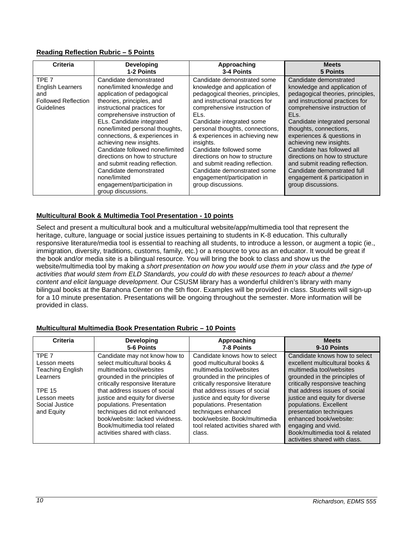## <span id="page-9-0"></span>**Reading Reflection Rubric – 5 Points**

| Criteria                                                                                       | <b>Developing</b>                                                                                                                                                                                                                                                                                                                                                                                                                                                                                                | Approaching                                                                                                                                                                                                                                                                                                                                                                                                                                                                   | <b>Meets</b>                                                                                                                                                                                                                                                                                                                                                                                                                                                                       |
|------------------------------------------------------------------------------------------------|------------------------------------------------------------------------------------------------------------------------------------------------------------------------------------------------------------------------------------------------------------------------------------------------------------------------------------------------------------------------------------------------------------------------------------------------------------------------------------------------------------------|-------------------------------------------------------------------------------------------------------------------------------------------------------------------------------------------------------------------------------------------------------------------------------------------------------------------------------------------------------------------------------------------------------------------------------------------------------------------------------|------------------------------------------------------------------------------------------------------------------------------------------------------------------------------------------------------------------------------------------------------------------------------------------------------------------------------------------------------------------------------------------------------------------------------------------------------------------------------------|
|                                                                                                | 1-2 Points                                                                                                                                                                                                                                                                                                                                                                                                                                                                                                       | 3-4 Points                                                                                                                                                                                                                                                                                                                                                                                                                                                                    | <b>5 Points</b>                                                                                                                                                                                                                                                                                                                                                                                                                                                                    |
| TPE <sub>7</sub><br><b>English Learners</b><br>and<br><b>Followed Reflection</b><br>Guidelines | Candidate demonstrated<br>none/limited knowledge and<br>application of pedagogical<br>theories, principles, and<br>instructional practices for<br>comprehensive instruction of<br>ELs. Candidate integrated<br>none/limited personal thoughts,<br>connections, & experiences in<br>achieving new insights.<br>Candidate followed none/limited<br>directions on how to structure<br>and submit reading reflection.<br>Candidate demonstrated<br>none/limited<br>engagement/participation in<br>group discussions. | Candidate demonstrated some<br>knowledge and application of<br>pedagogical theories, principles,<br>and instructional practices for<br>comprehensive instruction of<br>ELs.<br>Candidate integrated some<br>personal thoughts, connections,<br>& experiences in achieving new<br>insights.<br>Candidate followed some<br>directions on how to structure<br>and submit reading reflection.<br>Candidate demonstrated some<br>engagement/participation in<br>group discussions. | Candidate demonstrated<br>knowledge and application of<br>pedagogical theories, principles,<br>and instructional practices for<br>comprehensive instruction of<br>ELs.<br>Candidate integrated personal<br>thoughts, connections,<br>experiences & questions in<br>achieving new insights.<br>Candidate has followed all<br>directions on how to structure<br>and submit reading reflection.<br>Candidate demonstrated full<br>engagement & participation in<br>group discussions. |

## <span id="page-9-1"></span>**Multicultural Book & Multimedia Tool Presentation - 10 points**

Select and present a multicultural book and a multicultural website/app/multimedia tool that represent the heritage, culture, language or social justice issues pertaining to students in K-8 education. This culturally responsive literature/media tool is essential to reaching all students, to introduce a lesson, or augment a topic (ie., immigration, diversity, traditions, customs, family, etc.) or a resource to you as an educator. It would be great if the book and/or media site is a bilingual resource. You will bring the book to class and show us the website/multimedia tool by making a *short presentation on how you would use them in your class* and *the type of activities that would stem from ELD Standards, you could do with these resources to teach about a theme/ content and elicit language development*. Our CSUSM library has a wonderful children's library with many bilingual books at the Barahona Center on the 5th floor. Examples will be provided in class. Students will sign-up for a 10 minute presentation. Presentations will be ongoing throughout the semester. More information will be provided in class.

| Criteria                                                         | <b>Developing</b><br>5-6 Points                                                                                                                                                                                                 | Approaching<br>7-8 Points                                                                                                                                                                             | <b>Meets</b><br>9-10 Points                                                                                                                                                                                                              |
|------------------------------------------------------------------|---------------------------------------------------------------------------------------------------------------------------------------------------------------------------------------------------------------------------------|-------------------------------------------------------------------------------------------------------------------------------------------------------------------------------------------------------|------------------------------------------------------------------------------------------------------------------------------------------------------------------------------------------------------------------------------------------|
| TPF <sub>7</sub><br>Lesson meets<br>Teaching English<br>Learners | Candidate may not know how to<br>select multicultural books &<br>multimedia tool/websites<br>grounded in the principles of<br>critically responsive literature                                                                  | Candidate knows how to select<br>good multicultural books &<br>multimedia tool/websites<br>grounded in the principles of<br>critically responsive literature                                          | Candidate knows how to select<br>excellent multicultural books &<br>multimedia tool/websites<br>grounded in the principles of<br>critically responsive teaching                                                                          |
| <b>TPE 15</b><br>Lesson meets<br>Social Justice<br>and Equity    | that address issues of social<br>justice and equity for diverse<br>populations. Presentation<br>techniques did not enhanced<br>book/website: lacked vividness.<br>Book/multimedia tool related<br>activities shared with class. | that address issues of social<br>justice and equity for diverse<br>populations. Presentation<br>techniques enhanced<br>book/website. Book/multimedia<br>tool related activities shared with<br>class. | that address issues of social<br>justice and equity for diverse<br>populations. Excellent<br>presentation techniques<br>enhanced book/website:<br>engaging and vivid.<br>Book/multimedia tool & related<br>activities shared with class. |

# <span id="page-9-2"></span>**Multicultural Multimedia Book Presentation Rubric – 10 Points**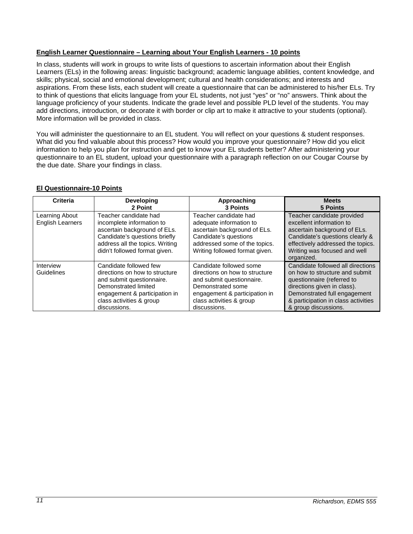## <span id="page-10-0"></span>**English Learner Questionnaire – Learning about Your English Learners - 10 points**

In class, students will work in groups to write lists of questions to ascertain information about their English Learners (ELs) in the following areas: linguistic background; academic language abilities, content knowledge, and skills; physical, social and emotional development; cultural and health considerations; and interests and aspirations. From these lists, each student will create a questionnaire that can be administered to his/her ELs. Try to think of questions that elicits language from your EL students, not just "yes" or "no" answers. Think about the language proficiency of your students. Indicate the grade level and possible PLD level of the students. You may add directions, introduction, or decorate it with border or clip art to make it attractive to your students (optional). More information will be provided in class.

You will administer the questionnaire to an EL student. You will reflect on your questions & student responses. What did you find valuable about this process? How would you improve your questionnaire? How did you elicit information to help you plan for instruction and get to know your EL students better? After administering your questionnaire to an EL student, upload your questionnaire with a paragraph reflection on our Cougar Course by the due date. Share your findings in class.

## <span id="page-10-1"></span>**El Questionnaire-10 Points**

| Criteria                                  | <b>Developing</b><br>2 Point                                                                                                                                                               | Approaching<br>3 Points                                                                                                                                                                  | <b>Meets</b><br>5 Points                                                                                                                                                                                                        |
|-------------------------------------------|--------------------------------------------------------------------------------------------------------------------------------------------------------------------------------------------|------------------------------------------------------------------------------------------------------------------------------------------------------------------------------------------|---------------------------------------------------------------------------------------------------------------------------------------------------------------------------------------------------------------------------------|
| Learning About<br><b>English Learners</b> | Teacher candidate had<br>incomplete information to<br>ascertain background of ELs.<br>Candidate's questions briefly<br>address all the topics. Writing<br>didn't followed format given.    | Teacher candidate had<br>adequate information to<br>ascertain background of ELs.<br>Candidate's questions<br>addressed some of the topics.<br>Writing followed format given.             | Teacher candidate provided<br>excellent information to<br>ascertain background of ELs.<br>Candidate's questions clearly &<br>effectively addressed the topics.<br>Writing was focused and well<br>organized.                    |
| Interview<br>Guidelines                   | Candidate followed few<br>directions on how to structure<br>and submit questionnaire.<br>Demonstrated limited<br>engagement & participation in<br>class activities & group<br>discussions. | Candidate followed some<br>directions on how to structure<br>and submit questionnaire.<br>Demonstrated some<br>engagement & participation in<br>class activities & group<br>discussions. | Candidate followed all directions<br>on how to structure and submit<br>questionnaire (referred to<br>directions given in class).<br>Demonstrated full engagement<br>& participation in class activities<br>& group discussions. |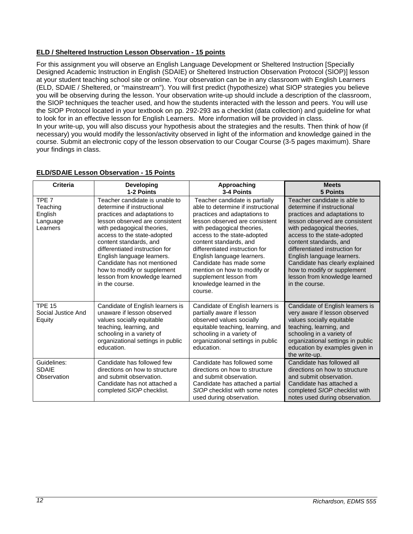## <span id="page-11-0"></span>**ELD / Sheltered Instruction Lesson Observation - 15 points**

For this assignment you will observe an English Language Development or Sheltered Instruction [Specially Designed Academic Instruction in English (SDAIE) or Sheltered Instruction Observation Protocol (SIOP)] lesson at your student teaching school site or online. Your observation can be in any classroom with English Learners (ELD, SDAIE / Sheltered, or "mainstream"). You will first predict (hypothesize) what SIOP strategies you believe you will be observing during the lesson. Your observation write-up should include a description of the classroom, the SIOP techniques the teacher used, and how the students interacted with the lesson and peers. You will use the SIOP Protocol located in your textbook on pp. 292-293 as a checklist (data collection) and guideline for what to look for in an effective lesson for English Learners. More information will be provided in class. In your write-up, you will also discuss your hypothesis about the strategies and the results. Then think of how (if necessary) you would modify the lesson/activity observed in light of the information and knowledge gained in the course. Submit an electronic copy of the lesson observation to our Cougar Course (3-5 pages maximum). Share your findings in class.

| <b>Criteria</b>                                                 | <b>Developing</b><br>1-2 Points                                                                                                                                                                                                                                                                                                                                                                        | Approaching<br>3-4 Points                                                                                                                                                                                                                                                                                                                                                                                                | <b>Meets</b><br>5 Points                                                                                                                                                                                                                                                                                                                                                                                 |
|-----------------------------------------------------------------|--------------------------------------------------------------------------------------------------------------------------------------------------------------------------------------------------------------------------------------------------------------------------------------------------------------------------------------------------------------------------------------------------------|--------------------------------------------------------------------------------------------------------------------------------------------------------------------------------------------------------------------------------------------------------------------------------------------------------------------------------------------------------------------------------------------------------------------------|----------------------------------------------------------------------------------------------------------------------------------------------------------------------------------------------------------------------------------------------------------------------------------------------------------------------------------------------------------------------------------------------------------|
| TPE <sub>7</sub><br>Teaching<br>English<br>Language<br>Learners | Teacher candidate is unable to<br>determine if instructional<br>practices and adaptations to<br>lesson observed are consistent<br>with pedagogical theories,<br>access to the state-adopted<br>content standards, and<br>differentiated instruction for<br>English language learners.<br>Candidate has not mentioned<br>how to modify or supplement<br>lesson from knowledge learned<br>in the course. | Teacher candidate is partially<br>able to determine if instructional<br>practices and adaptations to<br>lesson observed are consistent<br>with pedagogical theories,<br>access to the state-adopted<br>content standards, and<br>differentiated instruction for<br>English language learners.<br>Candidate has made some<br>mention on how to modify or<br>supplement lesson from<br>knowledge learned in the<br>course. | Teacher candidate is able to<br>determine if instructional<br>practices and adaptations to<br>lesson observed are consistent<br>with pedagogical theories,<br>access to the state-adopted<br>content standards, and<br>differentiated instruction for<br>English language learners.<br>Candidate has clearly explained<br>how to modify or supplement<br>lesson from knowledge learned<br>in the course. |
| <b>TPE 15</b><br>Social Justice And<br>Equity                   | Candidate of English learners is<br>unaware if lesson observed<br>values socially equitable<br>teaching, learning, and<br>schooling in a variety of<br>organizational settings in public<br>education.                                                                                                                                                                                                 | Candidate of English learners is<br>partially aware if lesson<br>observed values socially<br>equitable teaching, learning, and<br>schooling in a variety of<br>organizational settings in public<br>education.                                                                                                                                                                                                           | Candidate of English learners is<br>very aware if lesson observed<br>values socially equitable<br>teaching, learning, and<br>schooling in a variety of<br>organizational settings in public<br>education by examples given in<br>the write-up.                                                                                                                                                           |
| Guidelines:<br><b>SDAIE</b><br>Observation                      | Candidate has followed few<br>directions on how to structure<br>and submit observation.<br>Candidate has not attached a<br>completed SIOP checklist.                                                                                                                                                                                                                                                   | Candidate has followed some<br>directions on how to structure<br>and submit observation.<br>Candidate has attached a partial<br>SIOP checklist with some notes<br>used during observation.                                                                                                                                                                                                                               | Candidate has followed all<br>directions on how to structure<br>and submit observation.<br>Candidate has attached a<br>completed SIOP checklist with<br>notes used during observation.                                                                                                                                                                                                                   |

### <span id="page-11-1"></span>**ELD/SDAIE Lesson Observation - 15 Points**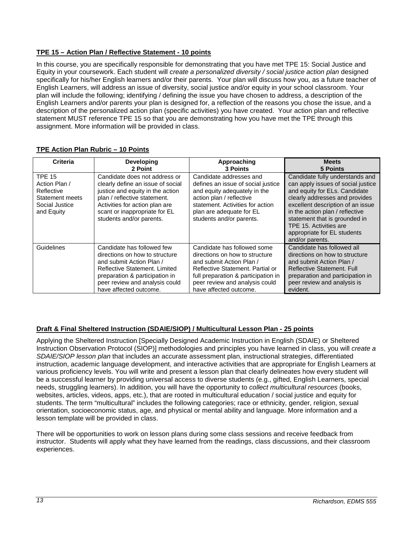## <span id="page-12-0"></span>**TPE 15 – Action Plan / Reflective Statement - 10 points**

In this course, you are specifically responsible for demonstrating that you have met TPE 15: Social Justice and Equity in your coursework. Each student will *create a personalized diversity / social justice action plan* designed specifically for his/her English learners and/or their parents. Your plan will discuss how you, as a future teacher of English Learners, will address an issue of diversity, social justice and/or equity in your school classroom. Your plan will include the following; identifying / defining the issue you have chosen to address, a description of the English Learners and/or parents your plan is designed for, a reflection of the reasons you chose the issue, and a description of the personalized action plan (specific activities) you have created. Your action plan and reflective statement MUST reference TPE 15 so that you are demonstrating how you have met the TPE through this assignment. More information will be provided in class.

| Criteria                                                                                        | <b>Developing</b>                                                                                                                                                                                                                     | Approaching                                                                                                                                                                                                           | <b>Meets</b>                                                                                                                                                                                                                                                                                                                  |
|-------------------------------------------------------------------------------------------------|---------------------------------------------------------------------------------------------------------------------------------------------------------------------------------------------------------------------------------------|-----------------------------------------------------------------------------------------------------------------------------------------------------------------------------------------------------------------------|-------------------------------------------------------------------------------------------------------------------------------------------------------------------------------------------------------------------------------------------------------------------------------------------------------------------------------|
|                                                                                                 | 2 Point                                                                                                                                                                                                                               | <b>3 Points</b>                                                                                                                                                                                                       | 5 Points                                                                                                                                                                                                                                                                                                                      |
| <b>TPE 15</b><br>Action Plan /<br>Reflective<br>Statement meets<br>Social Justice<br>and Equity | Candidate does not address or<br>clearly define an issue of social<br>justice and equity in the action<br>plan / reflective statement.<br>Activities for action plan are<br>scant or inappropriate for EL<br>students and/or parents. | Candidate addresses and<br>defines an issue of social justice<br>and equity adequately in the<br>action plan / reflective<br>statement. Activities for action<br>plan are adequate for EL<br>students and/or parents. | Candidate fully understands and<br>can apply issues of social justice<br>and equity for ELs. Candidate<br>clearly addresses and provides<br>excellent description of an issue<br>in the action plan / reflective<br>statement that is grounded in<br>TPE 15. Activities are<br>appropriate for EL students<br>and/or parents. |
| Guidelines                                                                                      | Candidate has followed few                                                                                                                                                                                                            | Candidate has followed some                                                                                                                                                                                           | Candidate has followed all                                                                                                                                                                                                                                                                                                    |
|                                                                                                 | directions on how to structure                                                                                                                                                                                                        | directions on how to structure                                                                                                                                                                                        | directions on how to structure                                                                                                                                                                                                                                                                                                |
|                                                                                                 | and submit Action Plan /                                                                                                                                                                                                              | and submit Action Plan /                                                                                                                                                                                              | and submit Action Plan /                                                                                                                                                                                                                                                                                                      |
|                                                                                                 | Reflective Statement, Limited                                                                                                                                                                                                         | Reflective Statement. Partial or                                                                                                                                                                                      | Reflective Statement, Full                                                                                                                                                                                                                                                                                                    |
|                                                                                                 | preparation & participation in                                                                                                                                                                                                        | full preparation & participation in                                                                                                                                                                                   | preparation and participation in                                                                                                                                                                                                                                                                                              |
|                                                                                                 | peer review and analysis could                                                                                                                                                                                                        | peer review and analysis could                                                                                                                                                                                        | peer review and analysis is                                                                                                                                                                                                                                                                                                   |
|                                                                                                 | have affected outcome.                                                                                                                                                                                                                | have affected outcome.                                                                                                                                                                                                | evident.                                                                                                                                                                                                                                                                                                                      |

### <span id="page-12-1"></span>**TPE Action Plan Rubric – 10 Points**

### <span id="page-12-2"></span>**Draft & Final Sheltered Instruction (SDAIE/SIOP) / Multicultural Lesson Plan - 25 points**

Applying the Sheltered Instruction [Specially Designed Academic Instruction in English (SDAIE) or Sheltered Instruction Observation Protocol (SIOP)] methodologies and principles you have learned in class, you will *create a SDAIE/SIOP lesson plan* that includes an accurate assessment plan, instructional strategies, differentiated instruction, academic language development, and interactive activities that are appropriate for English Learners at various proficiency levels. You will write and present a lesson plan that clearly delineates how every student will be a successful learner by providing universal access to diverse students (e.g., gifted, English Learners, special needs, struggling learners). In addition, you will have the opportunity to *collect multicultural resources* (books, websites, articles, videos, apps, etc.), that are rooted in multicultural education / social justice and equity for students. The term "multicultural" includes the following categories; race or ethnicity, gender, religion, sexual orientation, socioeconomic status, age, and physical or mental ability and language. More information and a lesson template will be provided in class.

There will be opportunities to work on lesson plans during some class sessions and receive feedback from instructor. Students will apply what they have learned from the readings, class discussions, and their classroom experiences.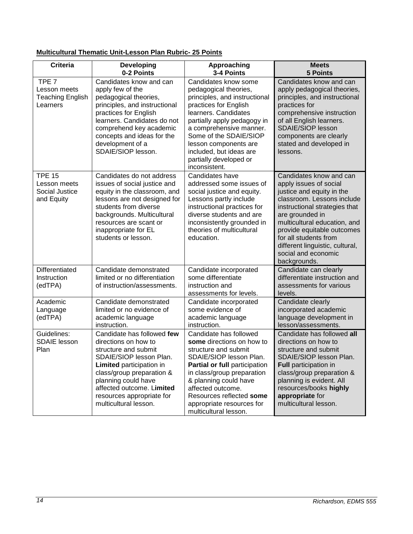# <span id="page-13-0"></span>**Multicultural Thematic Unit-Lesson Plan Rubric- 25 Points**

| <b>Criteria</b>                                                         | <b>Developing</b><br>0-2 Points                                                                                                                                                                                                                                          | Approaching<br>3-4 Points                                                                                                                                                                                                                                                                                          | <b>Meets</b><br><b>5 Points</b>                                                                                                                                                                                                                                                                                                   |
|-------------------------------------------------------------------------|--------------------------------------------------------------------------------------------------------------------------------------------------------------------------------------------------------------------------------------------------------------------------|--------------------------------------------------------------------------------------------------------------------------------------------------------------------------------------------------------------------------------------------------------------------------------------------------------------------|-----------------------------------------------------------------------------------------------------------------------------------------------------------------------------------------------------------------------------------------------------------------------------------------------------------------------------------|
| TPE <sub>7</sub><br>Lesson meets<br><b>Teaching English</b><br>Learners | Candidates know and can<br>apply few of the<br>pedagogical theories,<br>principles, and instructional<br>practices for English<br>learners. Candidates do not<br>comprehend key academic<br>concepts and ideas for the<br>development of a<br>SDAIE/SIOP lesson.         | Candidates know some<br>pedagogical theories,<br>principles, and instructional<br>practices for English<br>learners. Candidates<br>partially apply pedagogy in<br>a comprehensive manner.<br>Some of the SDAIE/SIOP<br>lesson components are<br>included, but ideas are<br>partially developed or<br>inconsistent. | Candidates know and can<br>apply pedagogical theories,<br>principles, and instructional<br>practices for<br>comprehensive instruction<br>of all English learners.<br>SDAIE/SIOP lesson<br>components are clearly<br>stated and developed in<br>lessons.                                                                           |
| <b>TPE 15</b><br>Lesson meets<br>Social Justice<br>and Equity           | Candidates do not address<br>issues of social justice and<br>equity in the classroom, and<br>lessons are not designed for<br>students from diverse<br>backgrounds. Multicultural<br>resources are scant or<br>inappropriate for EL<br>students or lesson.                | Candidates have<br>addressed some issues of<br>social justice and equity.<br>Lessons partly include<br>instructional practices for<br>diverse students and are<br>inconsistently grounded in<br>theories of multicultural<br>education.                                                                            | Candidates know and can<br>apply issues of social<br>justice and equity in the<br>classroom. Lessons include<br>instructional strategies that<br>are grounded in<br>multicultural education, and<br>provide equitable outcomes<br>for all students from<br>different linguistic, cultural,<br>social and economic<br>backgrounds. |
| Differentiated<br>Instruction<br>(edTPA)                                | Candidate demonstrated<br>limited or no differentiation<br>of instruction/assessments.                                                                                                                                                                                   | Candidate incorporated<br>some differentiate<br>instruction and<br>assessments for levels.                                                                                                                                                                                                                         | Candidate can clearly<br>differentiate instruction and<br>assessments for various<br>levels.                                                                                                                                                                                                                                      |
| Academic<br>Language<br>(edTPA)                                         | Candidate demonstrated<br>limited or no evidence of<br>academic language<br>instruction.                                                                                                                                                                                 | Candidate incorporated<br>some evidence of<br>academic language<br>instruction.                                                                                                                                                                                                                                    | Candidate clearly<br>incorporated academic<br>language development in<br>lesson/assessments.                                                                                                                                                                                                                                      |
| Guidelines:<br><b>SDAIE</b> lesson<br>Plan                              | Candidate has followed few<br>directions on how to<br>structure and submit<br>SDAIE/SIOP lesson Plan.<br>Limited participation in<br>class/group preparation &<br>planning could have<br>affected outcome. Limited<br>resources appropriate for<br>multicultural lesson. | Candidate has followed<br>some directions on how to<br>structure and submit<br>SDAIE/SIOP lesson Plan.<br>Partial or full participation<br>in class/group preparation<br>& planning could have<br>affected outcome.<br>Resources reflected some<br>appropriate resources for<br>multicultural lesson.              | Candidate has followed all<br>directions on how to<br>structure and submit<br>SDAIE/SIOP lesson Plan.<br>Full participation in<br>class/group preparation &<br>planning is evident. All<br>resources/books highly<br>appropriate for<br>multicultural lesson.                                                                     |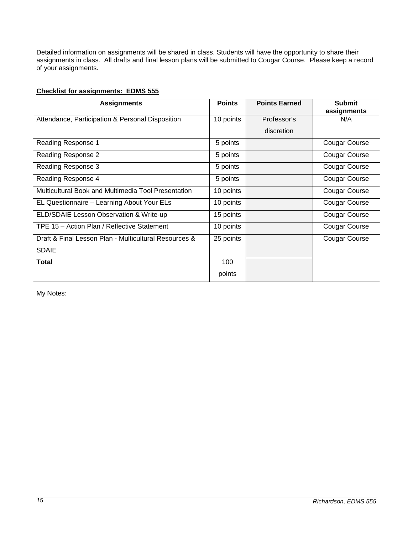Detailed information on assignments will be shared in class. Students will have the opportunity to share their assignments in class. All drafts and final lesson plans will be submitted to Cougar Course. Please keep a record of your assignments.

## <span id="page-14-0"></span>**Checklist for assignments: EDMS 555**

| <b>Assignments</b>                                    | <b>Points</b> | <b>Points Earned</b> | <b>Submit</b> |
|-------------------------------------------------------|---------------|----------------------|---------------|
|                                                       |               |                      | assignments   |
| Attendance, Participation & Personal Disposition      | 10 points     | Professor's          | N/A           |
|                                                       |               | discretion           |               |
| Reading Response 1                                    | 5 points      |                      | Cougar Course |
| Reading Response 2                                    | 5 points      |                      | Cougar Course |
| Reading Response 3                                    | 5 points      |                      | Cougar Course |
| Reading Response 4                                    | 5 points      |                      | Cougar Course |
| Multicultural Book and Multimedia Tool Presentation   | 10 points     |                      | Cougar Course |
| EL Questionnaire - Learning About Your ELs            | 10 points     |                      | Cougar Course |
| ELD/SDAIE Lesson Observation & Write-up               | 15 points     |                      | Cougar Course |
| TPE 15 - Action Plan / Reflective Statement           | 10 points     |                      | Cougar Course |
| Draft & Final Lesson Plan - Multicultural Resources & | 25 points     |                      | Cougar Course |
| <b>SDAIE</b>                                          |               |                      |               |
| <b>Total</b>                                          | 100           |                      |               |
|                                                       | points        |                      |               |

My Notes: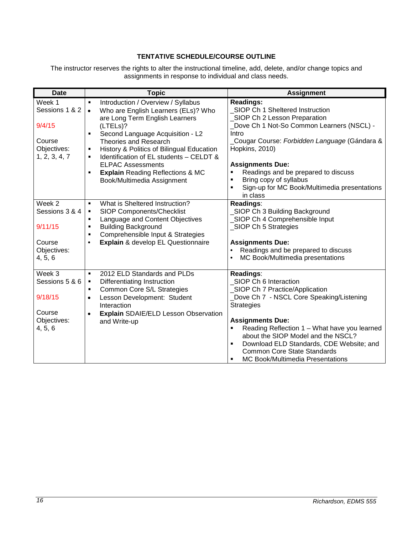## **TENTATIVE SCHEDULE/COURSE OUTLINE**

<span id="page-15-0"></span>The instructor reserves the rights to alter the instructional timeline, add, delete, and/or change topics and assignments in response to individual and class needs.

| <b>Date</b>                                                                  | <b>Topic</b>                                                                                                                                                                                                                                                                                                                                                                                                                                            | <b>Assignment</b>                                                                                                                                                                                                                                                                                                                                                                                     |
|------------------------------------------------------------------------------|---------------------------------------------------------------------------------------------------------------------------------------------------------------------------------------------------------------------------------------------------------------------------------------------------------------------------------------------------------------------------------------------------------------------------------------------------------|-------------------------------------------------------------------------------------------------------------------------------------------------------------------------------------------------------------------------------------------------------------------------------------------------------------------------------------------------------------------------------------------------------|
| Week 1<br>Sessions 1 & 2<br>9/4/15<br>Course<br>Objectives:<br>1, 2, 3, 4, 7 | Introduction / Overview / Syllabus<br>٠<br>Who are English Learners (ELs)? Who<br>$\bullet$<br>are Long Term English Learners<br>(LTELs)?<br>Second Language Acquisition - L2<br>$\blacksquare$<br><b>Theories and Research</b><br>History & Politics of Bilingual Education<br>$\blacksquare$<br>Identification of EL students - CELDT &<br>٠<br><b>ELPAC Assessments</b><br><b>Explain Reading Reflections &amp; MC</b><br>Book/Multimedia Assignment | <b>Readings:</b><br>SIOP Ch 1 Sheltered Instruction<br>SIOP Ch 2 Lesson Preparation<br>Dove Ch 1 Not-So Common Learners (NSCL) -<br>Intro<br>Cougar Course: Forbidden Language (Gándara &<br>Hopkins, 2010)<br><b>Assignments Due:</b><br>Readings and be prepared to discuss<br>Bring copy of syllabus<br>$\blacksquare$<br>Sign-up for MC Book/Multimedia presentations<br>in class                 |
| Week 2<br>Sessions 3 & 4<br>9/11/15<br>Course<br>Objectives:<br>4, 5, 6      | What is Sheltered Instruction?<br>$\blacksquare$<br>SIOP Components/Checklist<br>$\blacksquare$<br>Language and Content Objectives<br>$\blacksquare$<br><b>Building Background</b><br>٠<br>Comprehensible Input & Strategies<br>$\blacksquare$<br>Explain & develop EL Questionnaire<br>$\bullet$                                                                                                                                                       | Readings:<br>SIOP Ch 3 Building Background<br>SIOP Ch 4 Comprehensible Input<br>_SIOP Ch 5 Strategies<br><b>Assignments Due:</b><br>Readings and be prepared to discuss<br>MC Book/Multimedia presentations                                                                                                                                                                                           |
| Week 3<br>Sessions 5 & 6<br>9/18/15<br>Course<br>Objectives:<br>4, 5, 6      | 2012 ELD Standards and PLDs<br>$\blacksquare$<br>Differentiating Instruction<br>$\blacksquare$<br>Common Core S/L Strategies<br>٠<br>Lesson Development: Student<br>$\bullet$<br>Interaction<br><b>Explain SDAIE/ELD Lesson Observation</b><br>$\bullet$<br>and Write-up                                                                                                                                                                                | Readings:<br>SIOP Ch 6 Interaction<br>SIOP Ch 7 Practice/Application<br>Dove Ch 7 - NSCL Core Speaking/Listening<br><b>Strategies</b><br><b>Assignments Due:</b><br>Reading Reflection 1 - What have you learned<br>about the SIOP Model and the NSCL?<br>Download ELD Standards, CDE Website; and<br><b>Common Core State Standards</b><br><b>MC Book/Multimedia Presentations</b><br>$\blacksquare$ |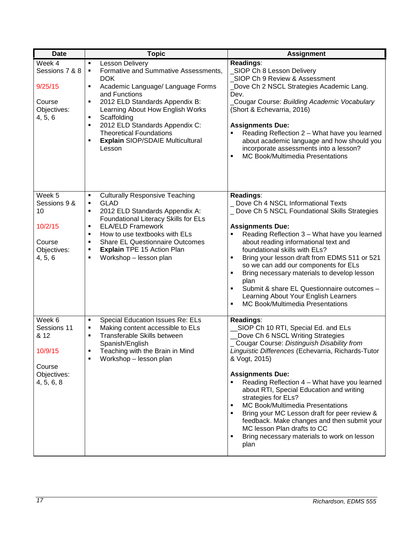| <b>Date</b>                                                                     | <b>Topic</b>                                                                                                                                                                                                                                                                                                                                                                              | <b>Assignment</b>                                                                                                                                                                                                                                                                                                                                                                                                                                                                                                                                                                           |
|---------------------------------------------------------------------------------|-------------------------------------------------------------------------------------------------------------------------------------------------------------------------------------------------------------------------------------------------------------------------------------------------------------------------------------------------------------------------------------------|---------------------------------------------------------------------------------------------------------------------------------------------------------------------------------------------------------------------------------------------------------------------------------------------------------------------------------------------------------------------------------------------------------------------------------------------------------------------------------------------------------------------------------------------------------------------------------------------|
| Week 4<br>Sessions 7 & 8<br>9/25/15<br>Course<br>Objectives:<br>4, 5, 6         | Lesson Delivery<br>$\blacksquare$<br>Formative and Summative Assessments,<br>٠<br><b>DOK</b><br>Academic Language/ Language Forms<br>٠<br>and Functions<br>2012 ELD Standards Appendix B:<br>Ξ<br>Learning About How English Works<br>Scaffolding<br>Ξ<br>2012 ELD Standards Appendix C:<br>٠<br><b>Theoretical Foundations</b><br><b>Explain SIOP/SDAIE Multicultural</b><br>٠<br>Lesson | Readings:<br>SIOP Ch 8 Lesson Delivery<br>SIOP Ch 9 Review & Assessment<br>Dove Ch 2 NSCL Strategies Academic Lang.<br>Dev.<br>Cougar Course: Building Academic Vocabulary<br>(Short & Echevarria, 2016)<br><b>Assignments Due:</b><br>Reading Reflection 2 - What have you learned<br>about academic language and how should you<br>incorporate assessments into a lesson?<br>MC Book/Multimedia Presentations<br>$\blacksquare$                                                                                                                                                           |
| Week 5<br>Sessions 9 &<br>10<br>10/2/15<br>Course<br>Objectives:<br>4, 5, 6     | <b>Culturally Responsive Teaching</b><br>٠<br><b>GLAD</b><br>٠<br>2012 ELD Standards Appendix A:<br>٠<br>Foundational Literacy Skills for ELs<br><b>ELA/ELD Framework</b><br>٠<br>How to use textbooks with ELs<br>٠<br><b>Share EL Questionnaire Outcomes</b><br>٠<br>Explain TPE 15 Action Plan<br>٠<br>Workshop - lesson plan<br>٠                                                     | Readings:<br>Dove Ch 4 NSCL Informational Texts<br>_ Dove Ch 5 NSCL Foundational Skills Strategies<br><b>Assignments Due:</b><br>Reading Reflection 3 - What have you learned<br>about reading informational text and<br>foundational skills with ELs?<br>Bring your lesson draft from EDMS 511 or 521<br>٠<br>so we can add our components for ELs<br>Bring necessary materials to develop lesson<br>٠<br>plan<br>Submit & share EL Questionnaire outcomes -<br>٠<br>Learning About Your English Learners<br><b>MC Book/Multimedia Presentations</b><br>٠                                  |
| Week 6<br>Sessions 11<br>& 12<br>10/9/15<br>Course<br>Objectives:<br>4, 5, 6, 8 | Special Education Issues Re: ELs<br>$\blacksquare$<br>Making content accessible to ELs<br>٠<br>Transferable Skills between<br>٠<br>Spanish/English<br>Teaching with the Brain in Mind<br>Workshop - lesson plan                                                                                                                                                                           | Readings:<br>SIOP Ch 10 RTI, Special Ed. and ELs<br>Dove Ch 6 NSCL Writing Strategies<br>Cougar Course: Distinguish Disability from<br>Linguistic Differences (Echevarria, Richards-Tutor<br>& Vogt, 2015)<br><b>Assignments Due:</b><br>Reading Reflection 4 - What have you learned<br>about RTI, Special Education and writing<br>strategies for ELs?<br>MC Book/Multimedia Presentations<br>٠<br>Bring your MC Lesson draft for peer review &<br>٠<br>feedback. Make changes and then submit your<br>MC lesson Plan drafts to CC<br>Bring necessary materials to work on lesson<br>plan |